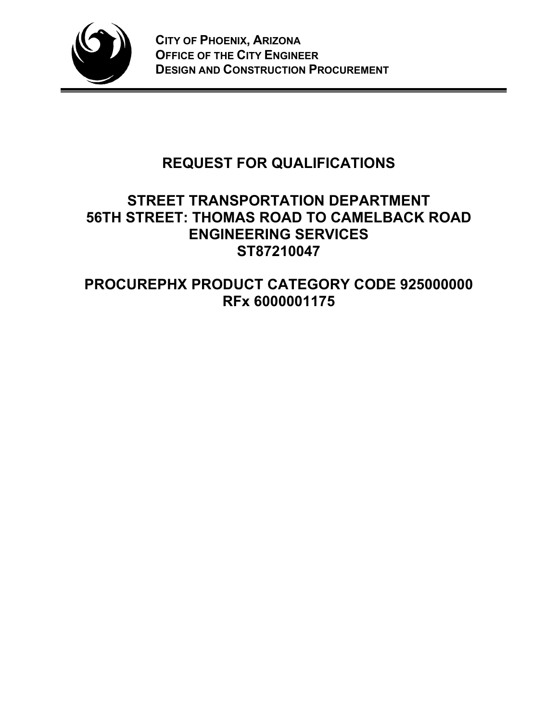

# **REQUEST FOR QUALIFICATIONS**

# **STREET TRANSPORTATION DEPARTMENT 56TH STREET: THOMAS ROAD TO CAMELBACK ROAD ENGINEERING SERVICES ST87210047**

# **PROCUREPHX PRODUCT CATEGORY CODE 925000000 RFx 6000001175**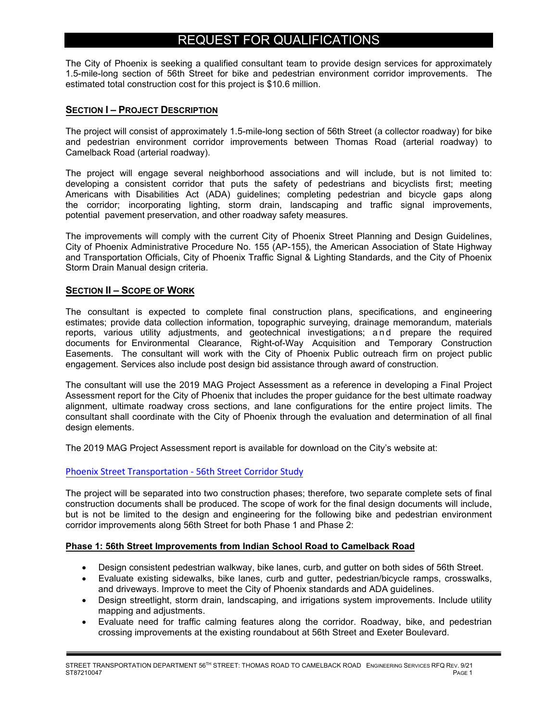# REQUEST FOR QUALIFICATIONS

The City of Phoenix is seeking a qualified consultant team to provide design services for approximately 1.5-mile-long section of 56th Street for bike and pedestrian environment corridor improvements. The estimated total construction cost for this project is \$10.6 million.

#### **SECTION I – PROJECT DESCRIPTION**

The project will consist of approximately 1.5-mile-long section of 56th Street (a collector roadway) for bike and pedestrian environment corridor improvements between Thomas Road (arterial roadway) to Camelback Road (arterial roadway).

The project will engage several neighborhood associations and will include, but is not limited to: developing a consistent corridor that puts the safety of pedestrians and bicyclists first; meeting Americans with Disabilities Act (ADA) guidelines; completing pedestrian and bicycle gaps along the corridor; incorporating lighting, storm drain, landscaping and traffic signal improvements, potential pavement preservation, and other roadway safety measures.

The improvements will comply with the current City of Phoenix Street Planning and Design Guidelines, City of Phoenix Administrative Procedure No. 155 (AP-155), the American Association of State Highway and Transportation Officials, City of Phoenix Traffic Signal & Lighting Standards, and the City of Phoenix Storm Drain Manual design criteria.

#### **SECTION II – SCOPE OF WORK**

The consultant is expected to complete final construction plans, specifications, and engineering estimates; provide data collection information, topographic surveying, drainage memorandum, materials reports, various utility adjustments, and geotechnical investigations; and prepare the required documents for Environmental Clearance, Right-of-Way Acquisition and Temporary Construction Easements. The consultant will work with the City of Phoenix Public outreach firm on project public engagement. Services also include post design bid assistance through award of construction.

The consultant will use the 2019 MAG Project Assessment as a reference in developing a Final Project Assessment report for the City of Phoenix that includes the proper guidance for the best ultimate roadway alignment, ultimate roadway cross sections, and lane configurations for the entire project limits. The consultant shall coordinate with the City of Phoenix through the evaluation and determination of all final design elements.

The 2019 MAG Project Assessment report is available for download on the City's website at:

#### [Phoenix Street Transportation](https://www.phoenix.gov/streets/56thstreet) - 56th Street Corridor Study

The project will be separated into two construction phases; therefore, two separate complete sets of final construction documents shall be produced. The scope of work for the final design documents will include, but is not be limited to the design and engineering for the following bike and pedestrian environment corridor improvements along 56th Street for both Phase 1 and Phase 2:

#### **Phase 1: 56th Street Improvements from Indian School Road to Camelback Road**

- Design consistent pedestrian walkway, bike lanes, curb, and gutter on both sides of 56th Street.
- Evaluate existing sidewalks, bike lanes, curb and gutter, pedestrian/bicycle ramps, crosswalks, and driveways. Improve to meet the City of Phoenix standards and ADA guidelines.
- Design streetlight, storm drain, landscaping, and irrigations system improvements. Include utility mapping and adjustments.
- Evaluate need for traffic calming features along the corridor. Roadway, bike, and pedestrian crossing improvements at the existing roundabout at 56th Street and Exeter Boulevard.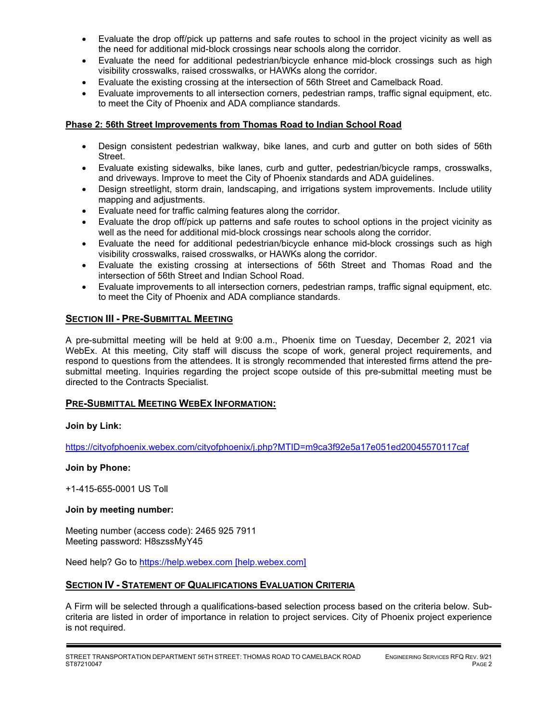- Evaluate the drop off/pick up patterns and safe routes to school in the project vicinity as well as the need for additional mid-block crossings near schools along the corridor.
- Evaluate the need for additional pedestrian/bicycle enhance mid-block crossings such as high visibility crosswalks, raised crosswalks, or HAWKs along the corridor.
- Evaluate the existing crossing at the intersection of 56th Street and Camelback Road.
- Evaluate improvements to all intersection corners, pedestrian ramps, traffic signal equipment, etc. to meet the City of Phoenix and ADA compliance standards.

#### **Phase 2: 56th Street Improvements from Thomas Road to Indian School Road**

- Design consistent pedestrian walkway, bike lanes, and curb and gutter on both sides of 56th Street.
- Evaluate existing sidewalks, bike lanes, curb and gutter, pedestrian/bicycle ramps, crosswalks, and driveways. Improve to meet the City of Phoenix standards and ADA guidelines.
- Design streetlight, storm drain, landscaping, and irrigations system improvements. Include utility mapping and adjustments.
- Evaluate need for traffic calming features along the corridor.
- Evaluate the drop off/pick up patterns and safe routes to school options in the project vicinity as well as the need for additional mid-block crossings near schools along the corridor.
- Evaluate the need for additional pedestrian/bicycle enhance mid-block crossings such as high visibility crosswalks, raised crosswalks, or HAWKs along the corridor.
- Evaluate the existing crossing at intersections of 56th Street and Thomas Road and the intersection of 56th Street and Indian School Road.
- Evaluate improvements to all intersection corners, pedestrian ramps, traffic signal equipment, etc. to meet the City of Phoenix and ADA compliance standards.

#### **SECTION III - PRE-SUBMITTAL MEETING**

A pre-submittal meeting will be held at 9:00 a.m., Phoenix time on Tuesday, December 2, 2021 via WebEx. At this meeting, City staff will discuss the scope of work, general project requirements, and respond to questions from the attendees. It is strongly recommended that interested firms attend the presubmittal meeting. Inquiries regarding the project scope outside of this pre-submittal meeting must be directed to the Contracts Specialist.

#### **PRE-SUBMITTAL MEETING WEBEX INFORMATION:**

#### **Join by Link:**

https://cityofphoenix.webex.com/cityofphoenix/j.php?MTID=m9ca3f92e5a17e051ed20045570117caf

#### **Join by Phone:**

+1-415-655-0001 US Toll

#### **Join by meeting number:**

Meeting number (access code): 2465 925 7911 Meeting password: H8szssMyY45

Need help? Go to [https://help.webex.com \[help.webex.com\]](https://urldefense.com/v3/__https:/help.webex.com__;!!LkjWUF49MRd51_ry!LIvWirpV6MTwBeDTFcvxLHF2MjLjfgJUEKXjUlie1qm8vCMGvm0xAlG888x7WQmbKdBHVIo3$)

#### **SECTION IV - STATEMENT OF QUALIFICATIONS EVALUATION CRITERIA**

A Firm will be selected through a qualifications-based selection process based on the criteria below. Subcriteria are listed in order of importance in relation to project services. City of Phoenix project experience is not required.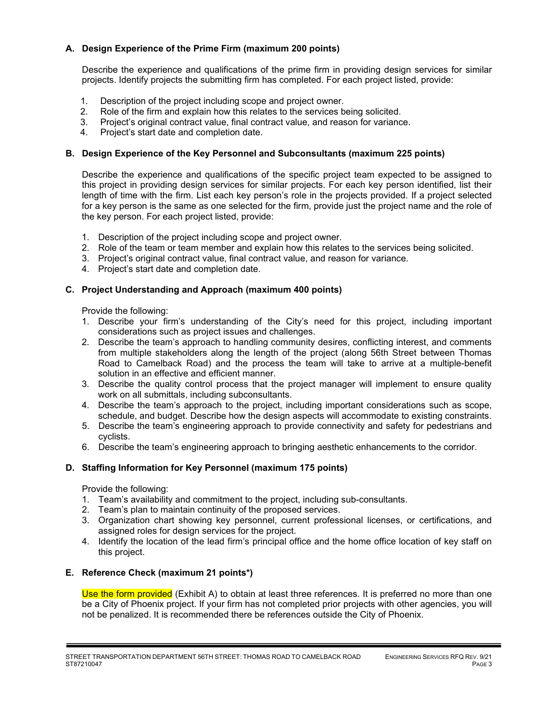### **A. Design Experience of the Prime Firm (maximum 200 points)**

Describe the experience and qualifications of the prime firm in providing design services for similar projects. Identify projects the submitting firm has completed. For each project listed, provide:

- 1. Description of the project including scope and project owner.
- 2. Role of the firm and explain how this relates to the services being solicited.
- 3. Project's original contract value, final contract value, and reason for variance.
- 4. Project's start date and completion date.

### **B. Design Experience of the Key Personnel and Subconsultants (maximum 225 points)**

Describe the experience and qualifications of the specific project team expected to be assigned to this project in providing design services for similar projects. For each key person identified, list their length of time with the firm. List each key person's role in the projects provided. If a project selected for a key person is the same as one selected for the firm, provide just the project name and the role of the key person. For each project listed, provide:

- 1. Description of the project including scope and project owner.
- 2. Role of the team or team member and explain how this relates to the services being solicited.
- 3. Project's original contract value, final contract value, and reason for variance.
- 4. Project's start date and completion date.

#### **C. Project Understanding and Approach (maximum 400 points)**

Provide the following:

- 1. Describe your firm's understanding of the City's need for this project, including important considerations such as project issues and challenges.
- 2. Describe the team's approach to handling community desires, conflicting interest, and comments from multiple stakeholders along the length of the project (along 56th Street between Thomas Road to Camelback Road) and the process the team will take to arrive at a multiple-benefit solution in an effective and efficient manner.
- 3. Describe the quality control process that the project manager will implement to ensure quality work on all submittals, including subconsultants.
- 4. Describe the team's approach to the project, including important considerations such as scope, schedule, and budget. Describe how the design aspects will accommodate to existing constraints.
- 5. Describe the team's engineering approach to provide connectivity and safety for pedestrians and cyclists.
- 6. Describe the team's engineering approach to bringing aesthetic enhancements to the corridor.

#### **D. Staffing Information for Key Personnel (maximum 175 points)**

Provide the following:

- 1. Team's availability and commitment to the project, including sub-consultants.
- 2. Team's plan to maintain continuity of the proposed services.
- 3. Organization chart showing key personnel, current professional licenses, or certifications, and assigned roles for design services for the project.
- 4. Identify the location of the lead firm's principal office and the home office location of key staff on this project.

### **E. Reference Check (maximum 21 points\*)**

Use the form provided (Exhibit A) to obtain at least three references. It is preferred no more than one be a City of Phoenix project. If your firm has not completed prior projects with other agencies, you will not be penalized. It is recommended there be references outside the City of Phoenix.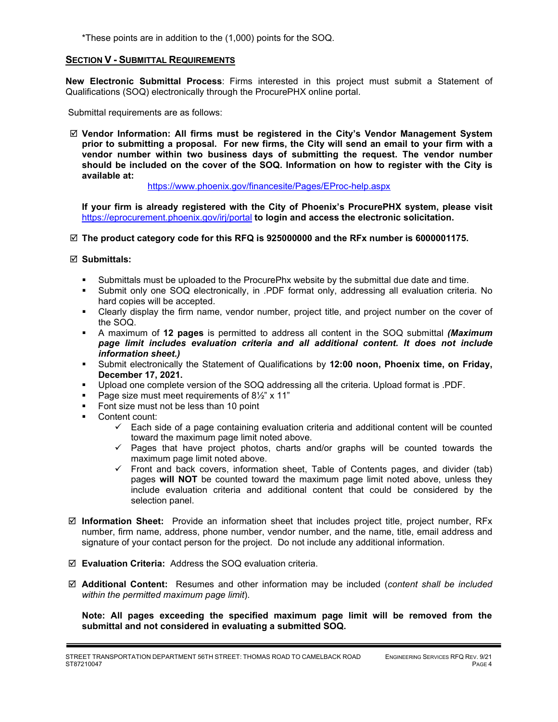\*These points are in addition to the (1,000) points for the SOQ.

#### **SECTION V - SUBMITTAL REQUIREMENTS**

**New Electronic Submittal Process**: Firms interested in this project must submit a Statement of Qualifications (SOQ) electronically through the ProcurePHX online portal.

Submittal requirements are as follows:

 **Vendor Information: All firms must be registered in the City's Vendor Management System prior to submitting a proposal. For new firms, the City will send an email to your firm with a vendor number within two business days of submitting the request. The vendor number should be included on the cover of the SOQ. Information on how to register with the City is available at:** 

<https://www.phoenix.gov/financesite/Pages/EProc-help.aspx>

**If your firm is already registered with the City of Phoenix's ProcurePHX system, please visit**  <https://eprocurement.phoenix.gov/irj/portal> **to login and access the electronic solicitation.**

**The product category code for this RFQ is 925000000 and the RFx number is 6000001175.** 

#### **Submittals:**

- Submittals must be uploaded to the ProcurePhx website by the submittal due date and time.
- Submit only one SOQ electronically, in .PDF format only, addressing all evaluation criteria. No hard copies will be accepted.
- Clearly display the firm name, vendor number, project title, and project number on the cover of the SOQ.
- A maximum of **12 pages** is permitted to address all content in the SOQ submittal *(Maximum page limit includes evaluation criteria and all additional content. It does not include information sheet.)*
- Submit electronically the Statement of Qualifications by **12:00 noon, Phoenix time, on Friday, December 17, 2021.**
- Upload one complete version of the SOQ addressing all the criteria. Upload format is .PDF.
- Page size must meet requirements of  $8\frac{1}{2}$ " x 11"
- **Font size must not be less than 10 point**
- Content count:
	- $\checkmark$  Each side of a page containing evaluation criteria and additional content will be counted toward the maximum page limit noted above.
	- $\checkmark$  Pages that have project photos, charts and/or graphs will be counted towards the maximum page limit noted above.
	- $\checkmark$  Front and back covers, information sheet, Table of Contents pages, and divider (tab) pages **will NOT** be counted toward the maximum page limit noted above, unless they include evaluation criteria and additional content that could be considered by the selection panel.
- **Information Sheet:** Provide an information sheet that includes project title, project number, RFx number, firm name, address, phone number, vendor number, and the name, title, email address and signature of your contact person for the project. Do not include any additional information.
- **Evaluation Criteria:** Address the SOQ evaluation criteria.
- **Additional Content:** Resumes and other information may be included (*content shall be included within the permitted maximum page limit*).

**Note: All pages exceeding the specified maximum page limit will be removed from the submittal and not considered in evaluating a submitted SOQ.**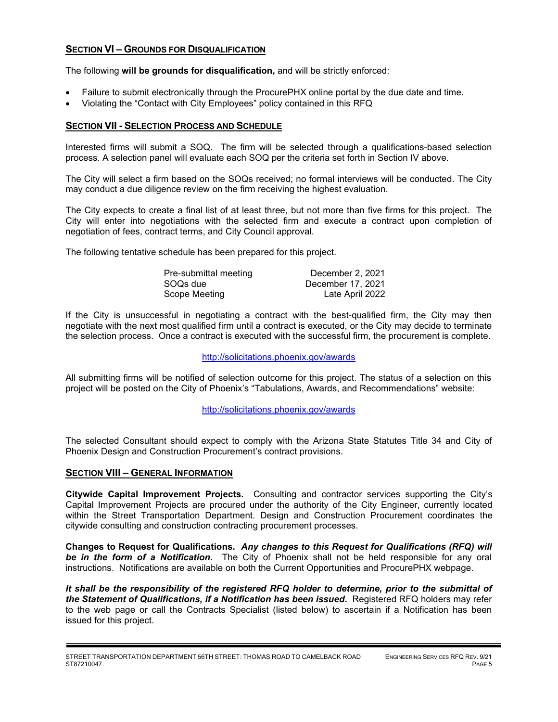### **SECTION VI – GROUNDS FOR DISQUALIFICATION**

The following **will be grounds for disqualification,** and will be strictly enforced:

- Failure to submit electronically through the ProcurePHX online portal by the due date and time.
- Violating the "Contact with City Employees" policy contained in this RFQ

#### **SECTION VII - SELECTION PROCESS AND SCHEDULE**

Interested firms will submit a SOQ. The firm will be selected through a qualifications-based selection process. A selection panel will evaluate each SOQ per the criteria set forth in Section IV above.

The City will select a firm based on the SOQs received; no formal interviews will be conducted. The City may conduct a due diligence review on the firm receiving the highest evaluation.

The City expects to create a final list of at least three, but not more than five firms for this project. The City will enter into negotiations with the selected firm and execute a contract upon completion of negotiation of fees, contract terms, and City Council approval.

The following tentative schedule has been prepared for this project.

| Pre-submittal meeting | December 2, 2021  |
|-----------------------|-------------------|
| SOQs due              | December 17, 2021 |
| Scope Meeting         | Late April 2022   |

If the City is unsuccessful in negotiating a contract with the best-qualified firm, the City may then negotiate with the next most qualified firm until a contract is executed, or the City may decide to terminate the selection process. Once a contract is executed with the successful firm, the procurement is complete.

#### http://solicitations.phoenix.gov/awards

All submitting firms will be notified of selection outcome for this project. The status of a selection on this project will be posted on the City of Phoenix's "Tabulations, Awards, and Recommendations" website:

<http://solicitations.phoenix.gov/awards>

The selected Consultant should expect to comply with the Arizona State Statutes Title 34 and City of Phoenix Design and Construction Procurement's contract provisions.

#### **SECTION VIII – GENERAL INFORMATION**

**Citywide Capital Improvement Projects.** Consulting and contractor services supporting the City's Capital Improvement Projects are procured under the authority of the City Engineer, currently located within the Street Transportation Department. Design and Construction Procurement coordinates the citywide consulting and construction contracting procurement processes.

**Changes to Request for Qualifications.** *Any changes to this Request for Qualifications (RFQ) will be in the form of a Notification.* The City of Phoenix shall not be held responsible for any oral instructions. Notifications are available on both the Current Opportunities and ProcurePHX webpage.

*It shall be the responsibility of the registered RFQ holder to determine, prior to the submittal of the Statement of Qualifications, if a Notification has been issued***.** Registered RFQ holders may refer to the web page or call the Contracts Specialist (listed below) to ascertain if a Notification has been issued for this project.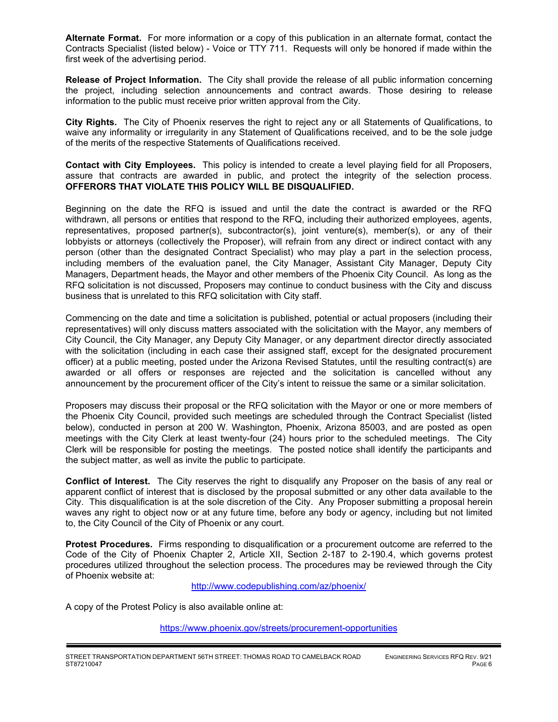**Alternate Format.** For more information or a copy of this publication in an alternate format, contact the Contracts Specialist (listed below) - Voice or TTY 711. Requests will only be honored if made within the first week of the advertising period.

**Release of Project Information.** The City shall provide the release of all public information concerning the project, including selection announcements and contract awards. Those desiring to release information to the public must receive prior written approval from the City.

**City Rights.** The City of Phoenix reserves the right to reject any or all Statements of Qualifications, to waive any informality or irregularity in any Statement of Qualifications received, and to be the sole judge of the merits of the respective Statements of Qualifications received.

**Contact with City Employees.** This policy is intended to create a level playing field for all Proposers, assure that contracts are awarded in public, and protect the integrity of the selection process. **OFFERORS THAT VIOLATE THIS POLICY WILL BE DISQUALIFIED.**

Beginning on the date the RFQ is issued and until the date the contract is awarded or the RFQ withdrawn, all persons or entities that respond to the RFQ, including their authorized employees, agents, representatives, proposed partner(s), subcontractor(s), joint venture(s), member(s), or any of their lobbyists or attorneys (collectively the Proposer), will refrain from any direct or indirect contact with any person (other than the designated Contract Specialist) who may play a part in the selection process, including members of the evaluation panel, the City Manager, Assistant City Manager, Deputy City Managers, Department heads, the Mayor and other members of the Phoenix City Council. As long as the RFQ solicitation is not discussed, Proposers may continue to conduct business with the City and discuss business that is unrelated to this RFQ solicitation with City staff.

Commencing on the date and time a solicitation is published, potential or actual proposers (including their representatives) will only discuss matters associated with the solicitation with the Mayor, any members of City Council, the City Manager, any Deputy City Manager, or any department director directly associated with the solicitation (including in each case their assigned staff, except for the designated procurement officer) at a public meeting, posted under the Arizona Revised Statutes, until the resulting contract(s) are awarded or all offers or responses are rejected and the solicitation is cancelled without any announcement by the procurement officer of the City's intent to reissue the same or a similar solicitation.

Proposers may discuss their proposal or the RFQ solicitation with the Mayor or one or more members of the Phoenix City Council, provided such meetings are scheduled through the Contract Specialist (listed below), conducted in person at 200 W. Washington, Phoenix, Arizona 85003, and are posted as open meetings with the City Clerk at least twenty-four (24) hours prior to the scheduled meetings. The City Clerk will be responsible for posting the meetings. The posted notice shall identify the participants and the subject matter, as well as invite the public to participate.

**Conflict of Interest.** The City reserves the right to disqualify any Proposer on the basis of any real or apparent conflict of interest that is disclosed by the proposal submitted or any other data available to the City. This disqualification is at the sole discretion of the City. Any Proposer submitting a proposal herein waves any right to object now or at any future time, before any body or agency, including but not limited to, the City Council of the City of Phoenix or any court.

**Protest Procedures.** Firms responding to disqualification or a procurement outcome are referred to the Code of the City of Phoenix Chapter 2, Article XII, Section 2-187 to 2-190.4, which governs protest procedures utilized throughout the selection process. The procedures may be reviewed through the City of Phoenix website at:

<http://www.codepublishing.com/az/phoenix/>

A copy of the Protest Policy is also available online at:

<https://www.phoenix.gov/streets/procurement-opportunities>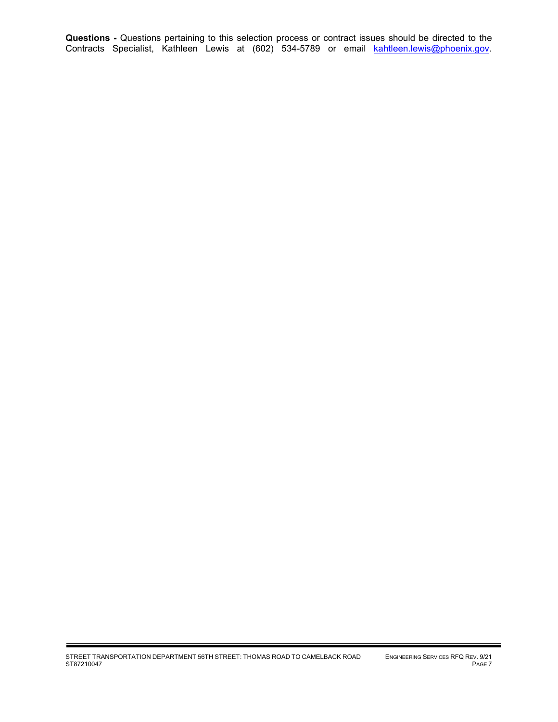**Questions -** Questions pertaining to this selection process or contract issues should be directed to the Contracts Specialist, Kathleen Lewis at (602) 534-5789 or email <u>kahtleen.lewis@phoenix.gov</u>.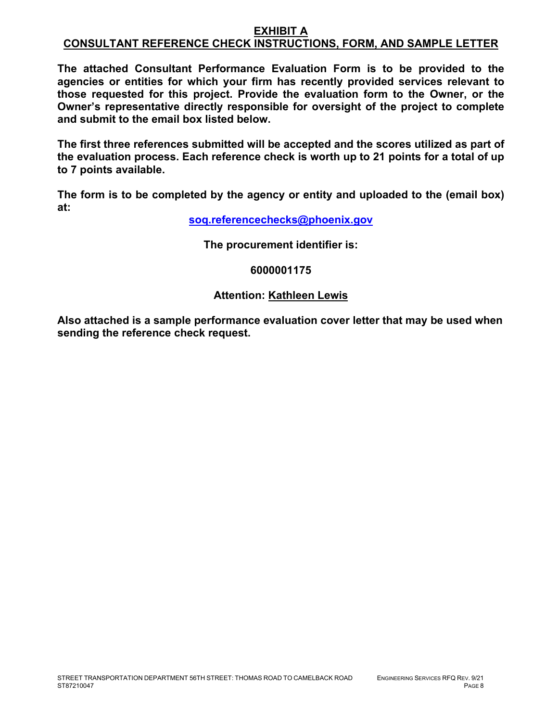#### **EXHIBIT A CONSULTANT REFERENCE CHECK INSTRUCTIONS, FORM, AND SAMPLE LETTER**

**The attached Consultant Performance Evaluation Form is to be provided to the agencies or entities for which your firm has recently provided services relevant to those requested for this project. Provide the evaluation form to the Owner, or the Owner's representative directly responsible for oversight of the project to complete and submit to the email box listed below.**

**The first three references submitted will be accepted and the scores utilized as part of the evaluation process. Each reference check is worth up to 21 points for a total of up to 7 points available.**

**The form is to be completed by the agency or entity and uploaded to the (email box) at:**

**[soq.referencechecks@phoenix.gov](mailto:soq.referencechecks@phoenix.gov)**

**The procurement identifier is:**

## **6000001175**

# **Attention: Kathleen Lewis**

**Also attached is a sample performance evaluation cover letter that may be used when sending the reference check request.**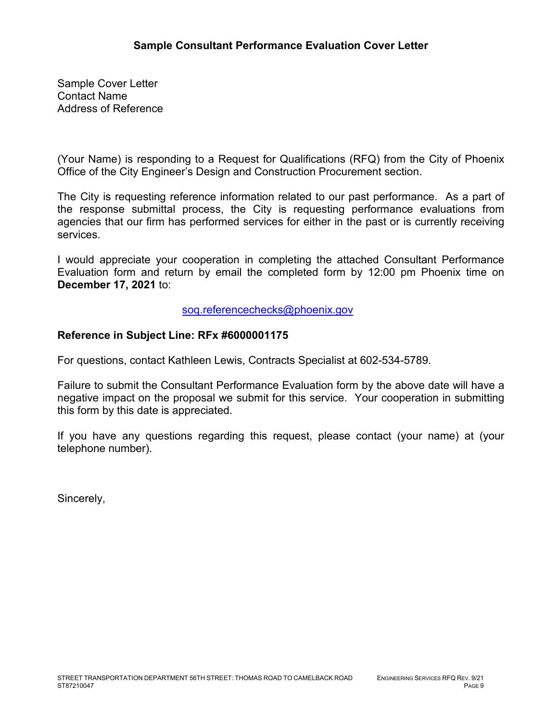Sample Cover Letter Contact Name Address of Reference

(Your Name) is responding to a Request for Qualifications (RFQ) from the City of Phoenix Office of the City Engineer's Design and Construction Procurement section.

The City is requesting reference information related to our past performance. As a part of the response submittal process, the City is requesting performance evaluations from agencies that our firm has performed services for either in the past or is currently receiving services.

I would appreciate your cooperation in completing the attached Consultant Performance Evaluation form and return by email the completed form by 12:00 pm Phoenix time on **December 17, 2021** to:

[soq.referencechecks@phoenix.gov](mailto:soq.referencechecks@phoenix.gov) 

# **Reference in Subject Line: RFx #6000001175**

For questions, contact Kathleen Lewis, Contracts Specialist at 602-534-5789.

Failure to submit the Consultant Performance Evaluation form by the above date will have a negative impact on the proposal we submit for this service. Your cooperation in submitting this form by this date is appreciated.

If you have any questions regarding this request, please contact (your name) at (your telephone number).

Sincerely,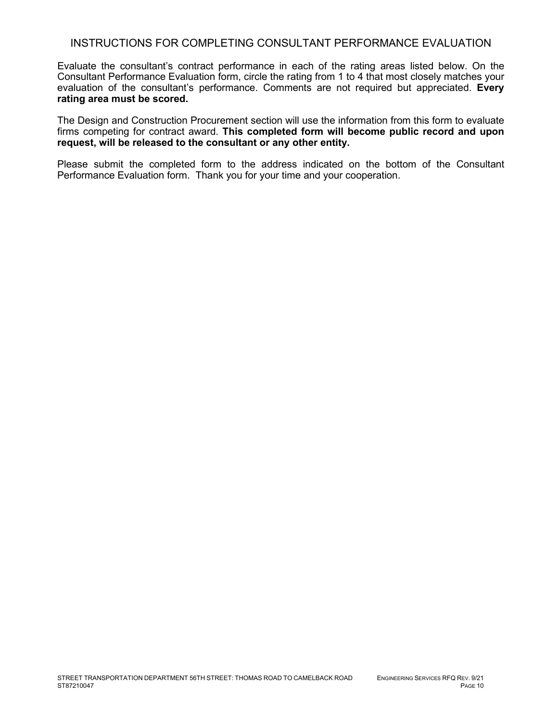## INSTRUCTIONS FOR COMPLETING CONSULTANT PERFORMANCE EVALUATION

Evaluate the consultant's contract performance in each of the rating areas listed below. On the Consultant Performance Evaluation form, circle the rating from 1 to 4 that most closely matches your evaluation of the consultant's performance. Comments are not required but appreciated. **Every rating area must be scored.** 

The Design and Construction Procurement section will use the information from this form to evaluate firms competing for contract award. **This completed form will become public record and upon request, will be released to the consultant or any other entity.**

Please submit the completed form to the address indicated on the bottom of the Consultant Performance Evaluation form. Thank you for your time and your cooperation.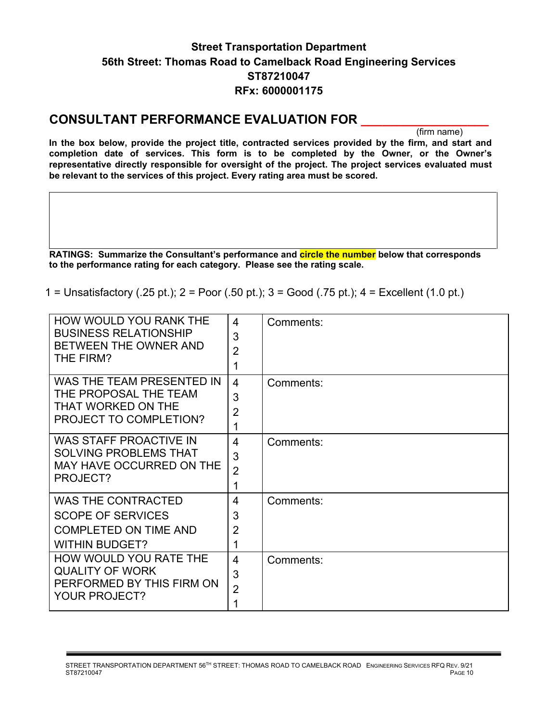# **Street Transportation Department 56th Street: Thomas Road to Camelback Road Engineering Services ST87210047 RFx: 6000001175**

# **CONSULTANT PERFORMANCE EVALUATION FOR \_\_\_\_\_\_\_\_\_\_\_\_\_\_\_\_\_\_**

(firm name)

**In the box below, provide the project title, contracted services provided by the firm, and start and completion date of services. This form is to be completed by the Owner, or the Owner's representative directly responsible for oversight of the project. The project services evaluated must be relevant to the services of this project. Every rating area must be scored.** 

**RATINGS: Summarize the Consultant's performance and circle the number below that corresponds to the performance rating for each category. Please see the rating scale.**

1 = Unsatisfactory (.25 pt.); 2 = Poor (.50 pt.); 3 = Good (.75 pt.); 4 = Excellent (1.0 pt.)

| <b>HOW WOULD YOU RANK THE</b><br><b>BUSINESS RELATIONSHIP</b><br>BETWEEN THE OWNER AND<br>THE FIRM?            | 4<br>3<br>$\overline{2}$<br>1              | Comments: |
|----------------------------------------------------------------------------------------------------------------|--------------------------------------------|-----------|
| WAS THE TEAM PRESENTED IN<br>THE PROPOSAL THE TEAM<br>THAT WORKED ON THE<br>PROJECT TO COMPLETION?             | $\overline{4}$<br>3<br>$\overline{2}$<br>1 | Comments: |
| WAS STAFF PROACTIVE IN<br><b>SOLVING PROBLEMS THAT</b><br>MAY HAVE OCCURRED ON THE<br>PROJECT?                 | $\overline{4}$<br>3<br>$\overline{2}$<br>1 | Comments: |
| <b>WAS THE CONTRACTED</b><br><b>SCOPE OF SERVICES</b><br><b>COMPLETED ON TIME AND</b><br><b>WITHIN BUDGET?</b> | 4<br>3<br>$\overline{2}$<br>1              | Comments: |
| HOW WOULD YOU RATE THE<br><b>QUALITY OF WORK</b><br>PERFORMED BY THIS FIRM ON<br>YOUR PROJECT?                 | $\overline{4}$<br>3<br>$\overline{2}$      | Comments: |